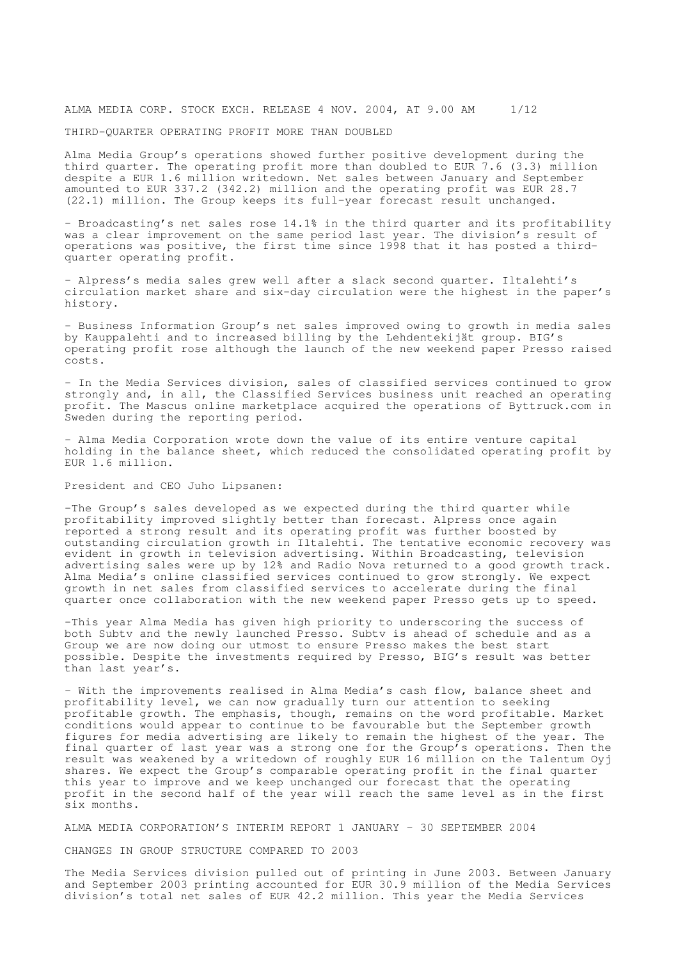# ALMA MEDIA CORP. STOCK EXCH. RELEASE 4 NOV. 2004, AT 9.00 AM 1/12

# THIRD-QUARTER OPERATING PROFIT MORE THAN DOUBLED

Alma Media Group's operations showed further positive development during the third quarter. The operating profit more than doubled to EUR 7.6 (3.3) million despite a EUR 1.6 million writedown. Net sales between January and September amounted to EUR 337.2 (342.2) million and the operating profit was EUR 28.7 (22.1) million. The Group keeps its full-year forecast result unchanged.

- Broadcasting's net sales rose 14.1% in the third quarter and its profitability was a clear improvement on the same period last year. The division's result of operations was positive, the first time since 1998 that it has posted a thirdquarter operating profit.

- Alpress's media sales grew well after a slack second quarter. Iltalehti's circulation market share and six-day circulation were the highest in the paper's history.

- Business Information Group's net sales improved owing to growth in media sales by Kauppalehti and to increased billing by the Lehdentekijät group. BIG's operating profit rose although the launch of the new weekend paper Presso raised costs.

- In the Media Services division, sales of classified services continued to grow strongly and, in all, the Classified Services business unit reached an operating profit. The Mascus online marketplace acquired the operations of Byttruck.com in Sweden during the reporting period.

- Alma Media Corporation wrote down the value of its entire venture capital holding in the balance sheet, which reduced the consolidated operating profit by EUR 1.6 million.

President and CEO Juho Lipsanen:

-The Group's sales developed as we expected during the third quarter while profitability improved slightly better than forecast. Alpress once again reported a strong result and its operating profit was further boosted by outstanding circulation growth in Iltalehti. The tentative economic recovery was evident in growth in television advertising. Within Broadcasting, television advertising sales were up by 12% and Radio Nova returned to a good growth track. Alma Media's online classified services continued to grow strongly. We expect growth in net sales from classified services to accelerate during the final quarter once collaboration with the new weekend paper Presso gets up to speed.

-This year Alma Media has given high priority to underscoring the success of both Subtv and the newly launched Presso. Subtv is ahead of schedule and as a Group we are now doing our utmost to ensure Presso makes the best start possible. Despite the investments required by Presso, BIG's result was better than last year's.

- With the improvements realised in Alma Media's cash flow, balance sheet and profitability level, we can now gradually turn our attention to seeking profitable growth. The emphasis, though, remains on the word profitable. Market conditions would appear to continue to be favourable but the September growth figures for media advertising are likely to remain the highest of the year. The final quarter of last year was a strong one for the Group's operations. Then the result was weakened by a writedown of roughly EUR 16 million on the Talentum Oyj shares. We expect the Group's comparable operating profit in the final quarter this year to improve and we keep unchanged our forecast that the operating profit in the second half of the year will reach the same level as in the first six months.

ALMA MEDIA CORPORATION'S INTERIM REPORT 1 JANUARY - 30 SEPTEMBER 2004

CHANGES IN GROUP STRUCTURE COMPARED TO 2003

The Media Services division pulled out of printing in June 2003. Between January and September 2003 printing accounted for EUR 30.9 million of the Media Services division's total net sales of EUR 42.2 million. This year the Media Services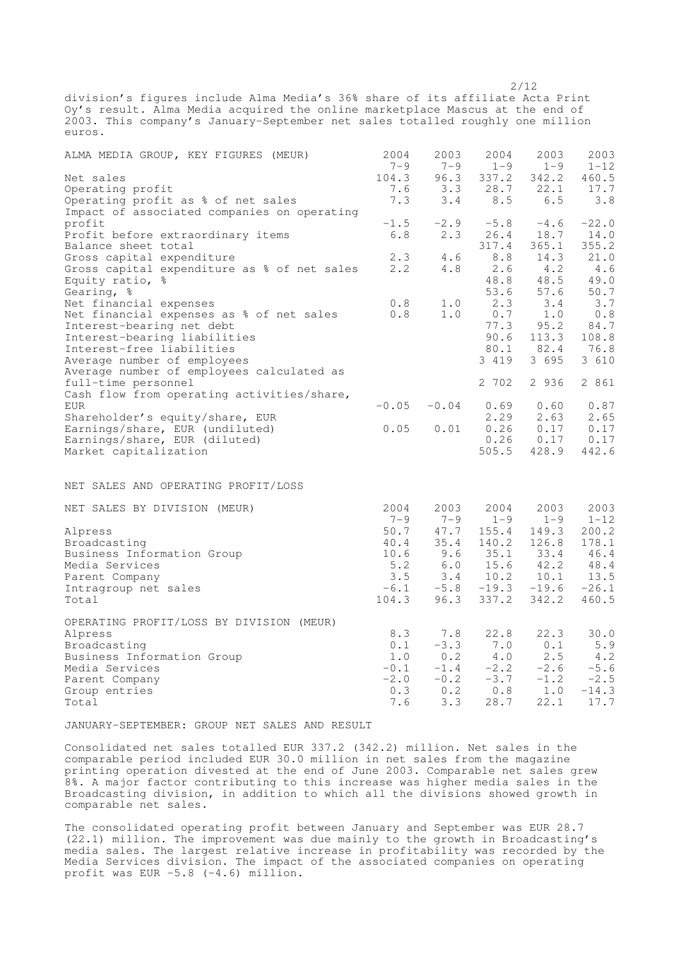division's figures include Alma Media's 36% share of its affiliate Acta Print Oy's result. Alma Media acquired the online marketplace Mascus at the end of 2003. This company's January-September net sales totalled roughly one million euros.

2/12

 $96.3$   $337.2$   $342.2$   $460.5$ 

| ALMA MEDIA GROUP, KEY FIGURES (MEUR)        | 2004<br>$7 - 9$ | 2003<br>$7 - 9$ | 2004<br>$1 - 9$ | 2003<br>$1 - 9$           | 2003<br>$1 - 12$ |
|---------------------------------------------|-----------------|-----------------|-----------------|---------------------------|------------------|
| Net sales                                   | 104.3           |                 | 96.3 337.2      | 342.2                     | 460.5            |
| Operating profit                            |                 |                 |                 | $7.6$ $3.3$ $28.7$ $22.1$ | 17.7             |
| Operating profit as % of net sales          | 7.3             | 3.4             | 8.5             | 6.5                       | 3.8              |
| Impact of associated companies on operating |                 |                 |                 |                           |                  |
| profit                                      | $-1.5$          | $-2.9$          | $-5.8$          | $-4.6$                    | $-22.0$          |
| Profit before extraordinary items           | $6.8\,$         | 2.3             | 26.4            | 18.7                      | 14.0             |
| Balance sheet total                         |                 |                 | 317.4           | 365.1                     | 355.2            |
| Gross capital expenditure                   | 2.3             | 4.6             | 8.8             | 14.3                      | 21.0             |
| Gross capital expenditure as % of net sales | 2.2             | 4.8             | 2.6             | 4.2                       | 4.6              |
| Equity ratio, %                             |                 |                 | 48.8            | 48.5                      | 49.0             |
| Gearing, %                                  |                 |                 | 53.6            | 57.6                      | 50.7             |
| Net financial expenses                      | 0.8             | 1.0             | 2.3             | 3.4                       | 3.7              |
| Net financial expenses as % of net sales    | 0.8             | 1.0             | 0.7             | 1.0                       | $0.8$            |
| Interest-bearing net debt                   |                 |                 | 77.3            | 95.2                      | 84.7             |
| Interest-bearing liabilities                |                 |                 | 90.6            | 113.3                     | 108.8            |
| Interest-free liabilities                   |                 |                 | 80.1            | 82.4                      | 76.8             |
| Average number of employees                 |                 |                 | 3 419           | 3 695                     | 3 610            |
| Average number of employees calculated as   |                 |                 |                 |                           |                  |
| full-time personnel                         |                 |                 | 2 702           | 2 936                     | 2 861            |
| Cash flow from operating activities/share,  |                 |                 |                 |                           |                  |
| <b>EUR</b>                                  | $-0.05$         | $-0.04$         | 0.69            | 0.60                      | 0.87             |
| Shareholder's equity/share, EUR             |                 |                 | 2.29            | 2.63                      | 2.65             |
| Earnings/share, EUR (undiluted)             | 0.05            | 0.01            | 0.26            | 0.17                      | 0.17             |
| Earnings/share, EUR (diluted)               |                 |                 | 0.26            | 0.17                      | 0.17             |
| Market capitalization                       |                 |                 | 505.5           | 428.9                     | 442.6            |
|                                             |                 |                 |                 |                           |                  |
| NET SALES AND OPERATING PROFIT/LOSS         |                 |                 |                 |                           |                  |
| NET SALES BY DIVISION (MEUR)                | 2004            | 2003            | 2004            | 2003                      | 2003             |
|                                             | $7 - 9$         | $7 - 9$         | $1 - 9$         | $1 - 9$                   | $1 - 12$         |
| Alpress                                     | 50.7            | 47.7            | 155.4           | 149.3                     | 200.2            |
| Broadcasting                                | 40.4            | 35.4            | 140.2           | 126.8                     | 178.1            |
| Business Information Group                  | 10.6            |                 | $9.6$ $35.1$    | 33.4                      | 46.4             |
| Media Services                              | 5.2             | $6.0$           | 15.6            | 42.2                      | 48.4             |
| Parent Company                              | 3.5             |                 | $3.4$ 10.2      | 10.1                      | 13.5             |
| Intragroup net sales                        | $-6.1$          | $-5.8$          | $-19.3$         | $-19.6$                   | $-26.1$          |
| Total                                       | 104.3           |                 | 96.3 337.2      | 342.2                     | 460.5            |

OPERATING PROFIT/LOSS BY DIVISION (MEUR) Alpress 8.3 7.8 22.8 22.3 30.0 Broadcasting<br>Broadcasting 0.1 -3.3 7.0 0.1 5.9<br>Business Information Group 1.0 0.2 4.0 2.5 4.2 Business Information Group 1.0 0.2 4.0 2.5 4.2<br>Media Services 1.0 -0.1 -1.4 -2.2 -2.6 -5.6 Media Services -0.1 -1.4 -2.2 -2.6<br>Parent Company -2.0 -0.2 -3.7 -1.2 Parent Company  $-2.0$   $-0.2$   $-3.7$   $-1.2$   $-2.5$ <br>Group entries  $0.3$   $0.2$   $0.8$   $1.0$   $-14.3$ Group entries  $0.3$   $0.2$   $0.8$   $1.0$   $-14.3$ <br>Total  $7.6$   $3.3$   $28.7$   $22.1$   $17.7$ Total 7.6 3.3 28.7 22.1 17.7

JANUARY-SEPTEMBER: GROUP NET SALES AND RESULT

Consolidated net sales totalled EUR 337.2 (342.2) million. Net sales in the comparable period included EUR 30.0 million in net sales from the magazine printing operation divested at the end of June 2003. Comparable net sales grew 8%. A major factor contributing to this increase was higher media sales in the Broadcasting division, in addition to which all the divisions showed growth in comparable net sales.

The consolidated operating profit between January and September was EUR 28.7 (22.1) million. The improvement was due mainly to the growth in Broadcasting's media sales. The largest relative increase in profitability was recorded by the Media Services division. The impact of the associated companies on operating profit was EUR -5.8 (-4.6) million.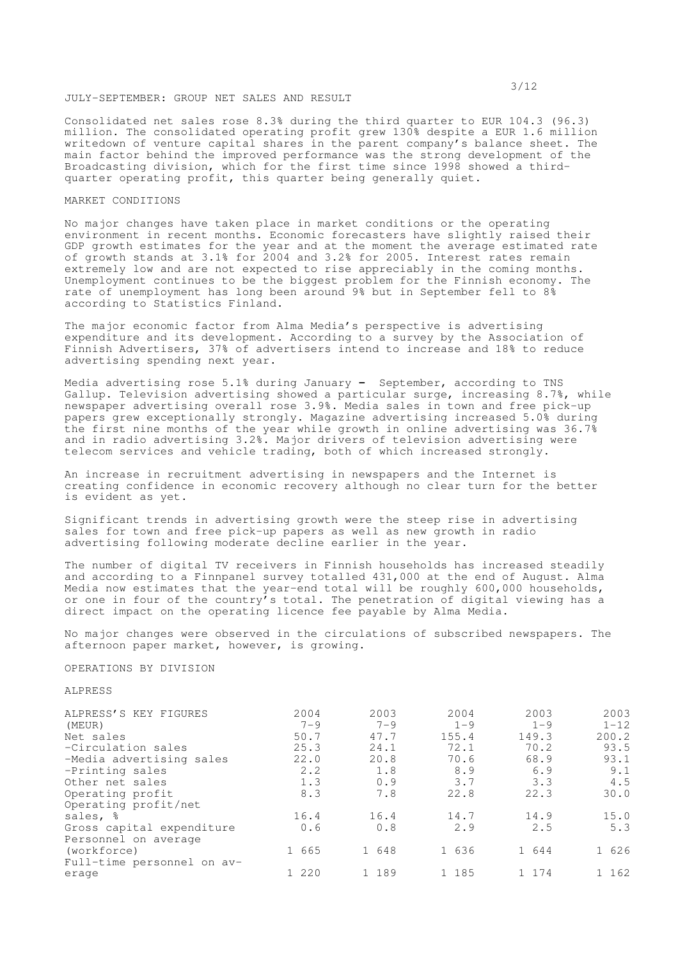## JULY-SEPTEMBER: GROUP NET SALES AND RESULT

Consolidated net sales rose 8.3% during the third quarter to EUR 104.3 (96.3) million. The consolidated operating profit grew 130% despite a EUR 1.6 million writedown of venture capital shares in the parent company's balance sheet. The main factor behind the improved performance was the strong development of the Broadcasting division, which for the first time since 1998 showed a thirdquarter operating profit, this quarter being generally quiet.

# MARKET CONDITIONS

No major changes have taken place in market conditions or the operating environment in recent months. Economic forecasters have slightly raised their GDP growth estimates for the year and at the moment the average estimated rate of growth stands at 3.1% for 2004 and 3.2% for 2005. Interest rates remain extremely low and are not expected to rise appreciably in the coming months. Unemployment continues to be the biggest problem for the Finnish economy. The rate of unemployment has long been around 9% but in September fell to 8% according to Statistics Finland.

The major economic factor from Alma Media's perspective is advertising expenditure and its development. According to a survey by the Association of Finnish Advertisers, 37% of advertisers intend to increase and 18% to reduce advertising spending next year.

Media advertising rose 5.1% during January **-** September, according to TNS Gallup. Television advertising showed a particular surge, increasing 8.7%, while newspaper advertising overall rose 3.9%. Media sales in town and free pick-up papers grew exceptionally strongly. Magazine advertising increased 5.0% during the first nine months of the year while growth in online advertising was 36.7% and in radio advertising 3.2%. Major drivers of television advertising were telecom services and vehicle trading, both of which increased strongly.

An increase in recruitment advertising in newspapers and the Internet is creating confidence in economic recovery although no clear turn for the better is evident as yet.

Significant trends in advertising growth were the steep rise in advertising sales for town and free pick-up papers as well as new growth in radio advertising following moderate decline earlier in the year.

The number of digital TV receivers in Finnish households has increased steadily and according to a Finnpanel survey totalled 431,000 at the end of August. Alma Media now estimates that the year-end total will be roughly 600,000 households, or one in four of the country's total. The penetration of digital viewing has a direct impact on the operating licence fee payable by Alma Media.

No major changes were observed in the circulations of subscribed newspapers. The afternoon paper market, however, is growing.

## OPERATIONS BY DIVISION

# ALPRESS

| ALPRESS'S KEY FIGURES      | 2004        | 2003    | 2004    | 2003    | 2003     |
|----------------------------|-------------|---------|---------|---------|----------|
| (MEUR)                     | $7 - 9$     | $7 - 9$ | $1 - 9$ | $1 - 9$ | $1 - 12$ |
| Net sales                  | 50.7        | 47.7    | 155.4   | 149.3   | 200.2    |
| -Circulation sales         | 25.3        | 24.1    | 72.1    | 70.2    | 93.5     |
| -Media advertising sales   | 22.0        | 20.8    | 70.6    | 68.9    | 93.1     |
| -Printing sales            | $2 \cdot 2$ | 1.8     | 8.9     | 6.9     | 9.1      |
| Other net sales            | 1.3         | 0.9     | 3.7     | 3.3     | 4.5      |
| Operating profit           | 8.3         | 7.8     | 22.8    | 22.3    | 30.0     |
| Operating profit/net       |             |         |         |         |          |
| sales, %                   | 16.4        | 16.4    | 14.7    | 14.9    | 15.0     |
| Gross capital expenditure  | 0.6         | 0.8     | 2.9     | 2.5     | 5.3      |
| Personnel on average       |             |         |         |         |          |
| (workforce)                | 1 665       | 1 648   | 1 636   | 1 644   | 1 626    |
| Full-time personnel on av- |             |         |         |         |          |
| erage                      | 1 220       | 1 189   | 1 185   | 1 1 7 4 | 1 162    |
|                            |             |         |         |         |          |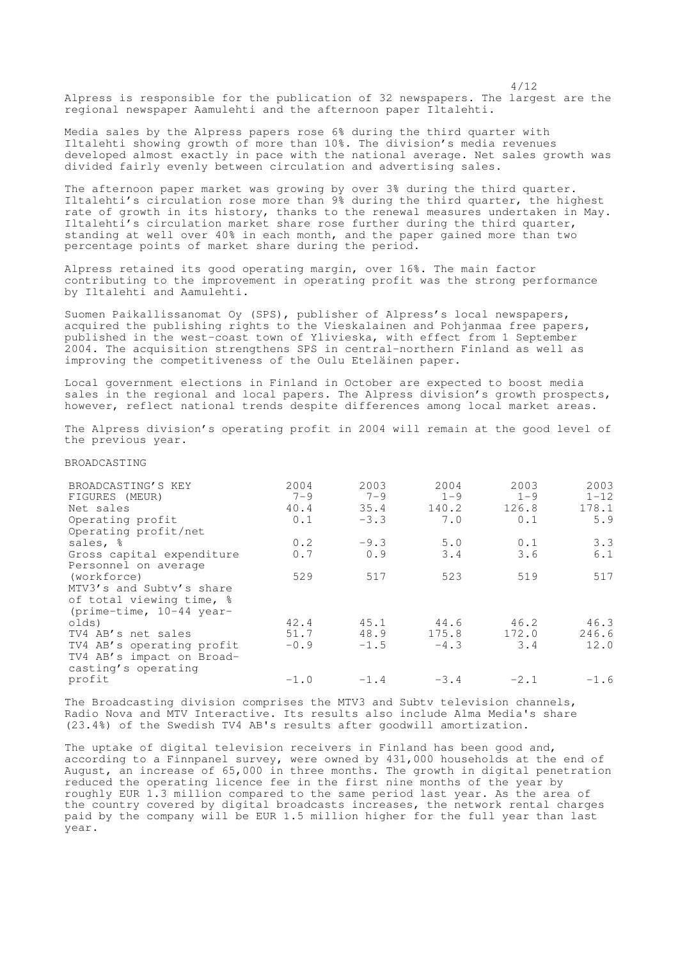Alpress is responsible for the publication of 32 newspapers. The largest are the regional newspaper Aamulehti and the afternoon paper Iltalehti.

4/12

Media sales by the Alpress papers rose 6% during the third quarter with Iltalehti showing growth of more than 10%. The division's media revenues developed almost exactly in pace with the national average. Net sales growth was divided fairly evenly between circulation and advertising sales.

The afternoon paper market was growing by over 3% during the third quarter. Iltalehti's circulation rose more than 9% during the third quarter, the highest rate of growth in its history, thanks to the renewal measures undertaken in May. Iltalehti's circulation market share rose further during the third quarter, standing at well over 40% in each month, and the paper gained more than two percentage points of market share during the period.

Alpress retained its good operating margin, over 16%. The main factor contributing to the improvement in operating profit was the strong performance by Iltalehti and Aamulehti.

Suomen Paikallissanomat Oy (SPS), publisher of Alpress's local newspapers**,** acquired the publishing rights to the Vieskalainen and Pohjanmaa free papers, published in the west-coast town of Ylivieska, with effect from 1 September 2004. The acquisition strengthens SPS in central-northern Finland as well as improving the competitiveness of the Oulu Eteläinen paper.

Local government elections in Finland in October are expected to boost media sales in the regional and local papers. The Alpress division's growth prospects, however, reflect national trends despite differences among local market areas.

The Alpress division's operating profit in 2004 will remain at the good level of the previous year.

## BROADCASTING

| BROADCASTING'S KEY         | 2004    | 2003    | 2004    | 2003    | 2003     |
|----------------------------|---------|---------|---------|---------|----------|
| FIGURES (MEUR)             | $7 - 9$ | $7 - 9$ | $1 - 9$ | $1 - 9$ | $1 - 12$ |
| Net sales                  | 40.4    | 35.4    | 140.2   | 126.8   | 178.1    |
| Operating profit           | 0.1     | $-3.3$  | 7.0     | 0.1     | 5.9      |
| Operating profit/net       |         |         |         |         |          |
| sales, %                   | 0.2     | $-9.3$  | 5.0     | 0.1     | 3.3      |
| Gross capital expenditure  | 0.7     | 0.9     | 3.4     | 3.6     | 6.1      |
| Personnel on average       |         |         |         |         |          |
| (workforce)                | 529     | 517     | 523     | 519     | 517      |
| MTV3's and Subty's share   |         |         |         |         |          |
| of total viewing time, %   |         |         |         |         |          |
| (prime-time, $10-44$ year- |         |         |         |         |          |
| olds)                      | 42.4    | 45.1    | 44.6    | 46.2    | 46.3     |
| TV4 AB's net sales         | 51.7    | 48.9    | 175.8   | 172.0   | 246.6    |
| TV4 AB's operating profit  | $-0.9$  | $-1.5$  | $-4.3$  | 3.4     | 12.0     |
| TV4 AB's impact on Broad-  |         |         |         |         |          |
| casting's operating        |         |         |         |         |          |
| profit                     | $-1.0$  | $-1.4$  | $-3.4$  | $-2.1$  | $-1.6$   |

The Broadcasting division comprises the MTV3 and Subtv television channels, Radio Nova and MTV Interactive. Its results also include Alma Media's share (23.4%) of the Swedish TV4 AB's results after goodwill amortization.

The uptake of digital television receivers in Finland has been good and, according to a Finnpanel survey, were owned by 431,000 households at the end of August, an increase of 65,000 in three months. The growth in digital penetration reduced the operating licence fee in the first nine months of the year by roughly EUR 1.3 million compared to the same period last year. As the area of the country covered by digital broadcasts increases, the network rental charges paid by the company will be EUR 1.5 million higher for the full year than last year.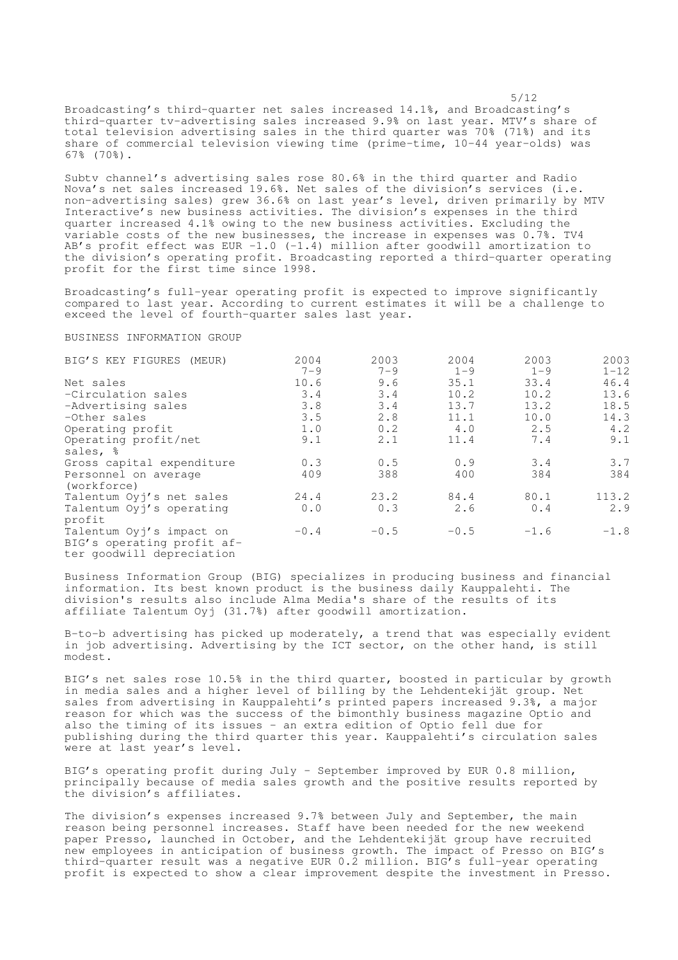Broadcasting's third-quarter net sales increased 14.1%, and Broadcasting's third-quarter tv-advertising sales increased 9.9% on last year. MTV's share of total television advertising sales in the third quarter was 70% (71%) and its share of commercial television viewing time (prime-time, 10-44 year-olds) was 67% (70%).

5/12

Subtv channel's advertising sales rose 80.6% in the third quarter and Radio Nova's net sales increased 19.6%. Net sales of the division's services (i.e. non-advertising sales) grew 36.6% on last year's level, driven primarily by MTV Interactive's new business activities. The division's expenses in the third quarter increased 4.1% owing to the new business activities. Excluding the variable costs of the new businesses, the increase in expenses was 0.7%. TV4 AB's profit effect was EUR  $-1.0$  ( $-1.4$ ) million after goodwill amortization to the division's operating profit. Broadcasting reported a third-quarter operating profit for the first time since 1998.

Broadcasting's full-year operating profit is expected to improve significantly compared to last year. According to current estimates it will be a challenge to exceed the level of fourth-quarter sales last year.

#### BUSINESS INFORMATION GROUP

| BIG'S KEY FIGURES (MEUR)   | 2004    | 2003    | 2004    | 2003    | 2003     |
|----------------------------|---------|---------|---------|---------|----------|
|                            | $7 - 9$ | $7 - 9$ | $1 - 9$ | $1 - 9$ | $1 - 12$ |
| Net sales                  | 10.6    | 9.6     | 35.1    | 33.4    | 46.4     |
| -Circulation sales         | 3.4     | 3.4     | 10.2    | 10.2    | 13.6     |
| -Advertising sales         | 3.8     | 3.4     | 13.7    | 13.2    | 18.5     |
| -Other sales               | 3.5     | 2.8     | 11.1    | 10.0    | 14.3     |
| Operating profit           | 1.0     | 0.2     | 4.0     | 2.5     | 4.2      |
| Operating profit/net       | 9.1     | 2.1     | 11.4    | 7.4     | 9.1      |
| sales, %                   |         |         |         |         |          |
| Gross capital expenditure  | 0.3     | 0.5     | 0.9     | 3.4     | 3.7      |
| Personnel on average       | 409     | 388     | 400     | 384     | 384      |
| (workforce)                |         |         |         |         |          |
| Talentum Oyj's net sales   | 24.4    | 23.2    | 84.4    | 80.1    | 113.2    |
| Talentum Oyj's operating   | 0.0     | 0.3     | 2.6     | 0.4     | 2.9      |
| profit                     |         |         |         |         |          |
| Talentum Oyj's impact on   | $-0.4$  | $-0.5$  | $-0.5$  | $-1.6$  | $-1.8$   |
| BIG's operating profit af- |         |         |         |         |          |
| ter goodwill depreciation  |         |         |         |         |          |

Business Information Group (BIG) specializes in producing business and financial information. Its best known product is the business daily Kauppalehti. The division's results also include Alma Media's share of the results of its affiliate Talentum Oyj (31.7%) after goodwill amortization.

B-to-b advertising has picked up moderately, a trend that was especially evident in job advertising. Advertising by the ICT sector, on the other hand, is still modest.

BIG's net sales rose 10.5% in the third quarter, boosted in particular by growth in media sales and a higher level of billing by the Lehdentekijät group. Net sales from advertising in Kauppalehti's printed papers increased 9.3%, a major reason for which was the success of the bimonthly business magazine Optio and also the timing of its issues - an extra edition of Optio fell due for publishing during the third quarter this year. Kauppalehti's circulation sales were at last year's level.

BIG's operating profit during July - September improved by EUR 0.8 million, principally because of media sales growth and the positive results reported by the division's affiliates.

The division's expenses increased 9.7% between July and September, the main reason being personnel increases. Staff have been needed for the new weekend paper Presso, launched in October, and the Lehdentekijät group have recruited new employees in anticipation of business growth. The impact of Presso on BIG's third-quarter result was a negative EUR 0.2 million. BIG's full-year operating profit is expected to show a clear improvement despite the investment in Presso.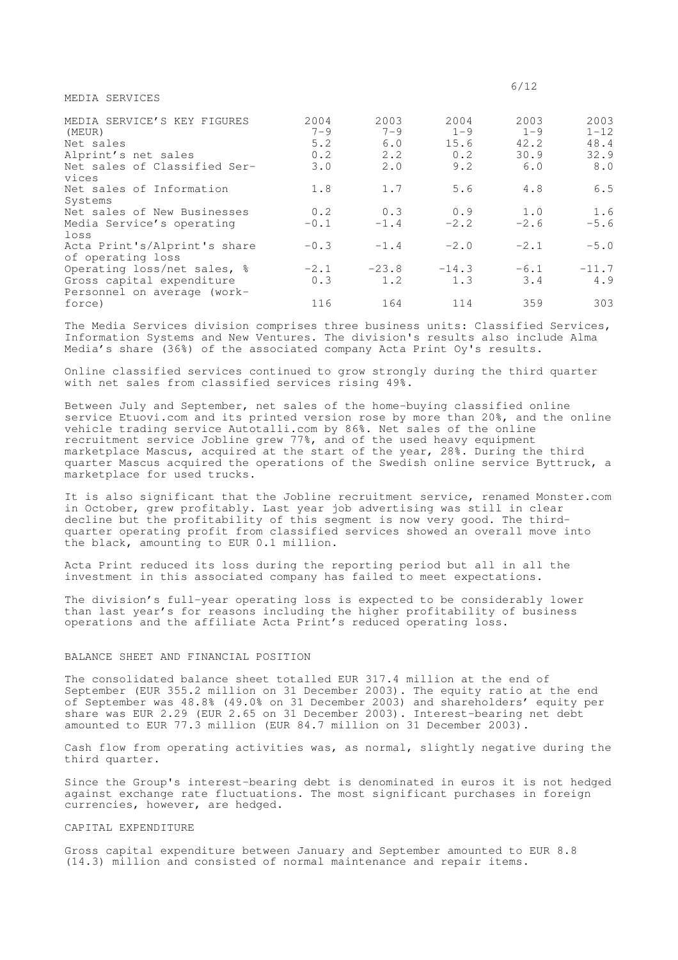MEDIA SERVICES

| MEDIA SERVICE'S KEY FIGURES<br>(MEUR)<br>Net sales<br>Alprint's net sales<br>Net sales of Classified Ser-<br>vices | 2004<br>$7 - 9$<br>5.2<br>0.2<br>3.0 | 2003<br>$7 - 9$<br>6.0<br>2.2<br>2.0 | 2004<br>$1 - 9$<br>15.6<br>0.2<br>9.2 | 2003<br>$1 - 9$<br>42.2<br>30.9<br>6.0 | 2003<br>$1 - 12$<br>48.4<br>32.9<br>8.0 |
|--------------------------------------------------------------------------------------------------------------------|--------------------------------------|--------------------------------------|---------------------------------------|----------------------------------------|-----------------------------------------|
| Net sales of Information<br>Systems                                                                                | 1.8                                  | 1.7                                  | 5.6                                   | 4.8                                    | 6.5                                     |
| Net sales of New Businesses<br>Media Service's operating<br>loss                                                   | 0.2<br>$-0.1$                        | 0.3<br>$-1.4$                        | 0.9<br>$-2.2$                         | 1.0<br>$-2.6$                          | 1.6<br>$-5.6$                           |
| Acta Print's/Alprint's share<br>of operating loss                                                                  | $-0.3$                               | $-1.4$                               | $-2.0$                                | $-2.1$                                 | $-5.0$                                  |
| Operating loss/net sales, %<br>Gross capital expenditure                                                           | $-2.1$<br>0.3                        | $-2.3.8$<br>1.2                      | $-14.3$<br>1.3                        | $-6.1$<br>3.4                          | $-11.7$<br>4.9                          |
| Personnel on average (work-<br>force)                                                                              | 116                                  | 164                                  | 114                                   | 359                                    | 303                                     |

The Media Services division comprises three business units: Classified Services, Information Systems and New Ventures. The division's results also include Alma Media's share (36%) of the associated company Acta Print Oy's results.

Online classified services continued to grow strongly during the third quarter with net sales from classified services rising 49%.

Between July and September, net sales of the home-buying classified online service Etuovi.com and its printed version rose by more than 20%, and the online vehicle trading service Autotalli.com by 86%. Net sales of the online recruitment service Jobline grew 77%, and of the used heavy equipment marketplace Mascus, acquired at the start of the year, 28%. During the third quarter Mascus acquired the operations of the Swedish online service Byttruck, a marketplace for used trucks.

It is also significant that the Jobline recruitment service, renamed Monster.com in October, grew profitably. Last year job advertising was still in clear decline but the profitability of this segment is now very good. The thirdquarter operating profit from classified services showed an overall move into the black, amounting to EUR 0.1 million.

Acta Print reduced its loss during the reporting period but all in all the investment in this associated company has failed to meet expectations.

The division's full-year operating loss is expected to be considerably lower than last year's for reasons including the higher profitability of business operations and the affiliate Acta Print's reduced operating loss.

# BALANCE SHEET AND FINANCIAL POSITION

The consolidated balance sheet totalled EUR 317.4 million at the end of September (EUR 355.2 million on 31 December 2003). The equity ratio at the end of September was 48.8% (49.0% on 31 December 2003) and shareholders' equity per share was EUR 2.29 (EUR 2.65 on 31 December 2003). Interest-bearing net debt amounted to EUR 77.3 million (EUR 84.7 million on 31 December 2003).

Cash flow from operating activities was, as normal, slightly negative during the third quarter.

Since the Group's interest-bearing debt is denominated in euros it is not hedged against exchange rate fluctuations. The most significant purchases in foreign currencies, however, are hedged.

# CAPITAL EXPENDITURE

Gross capital expenditure between January and September amounted to EUR 8.8 (14.3) million and consisted of normal maintenance and repair items.

6/12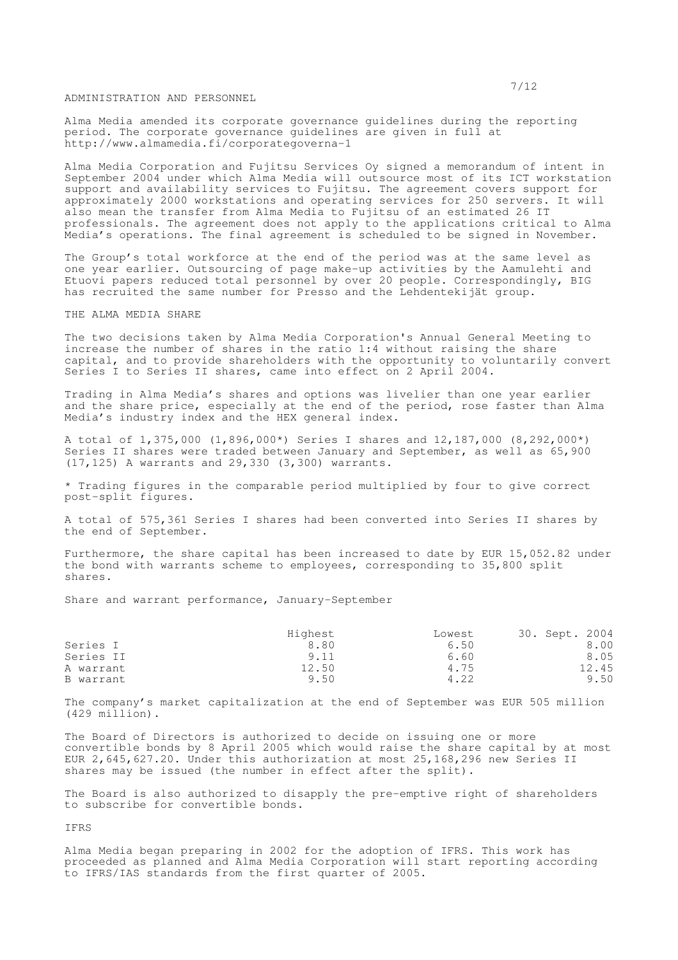ADMINISTRATION AND PERSONNEL

Alma Media amended its corporate governance guidelines during the reporting period. The corporate governance guidelines are given in full at http://www.almamedia.fi/corporategoverna-1

Alma Media Corporation and Fujitsu Services Oy signed a memorandum of intent in September 2004 under which Alma Media will outsource most of its ICT workstation support and availability services to Fujitsu. The agreement covers support for approximately 2000 workstations and operating services for 250 servers. It will also mean the transfer from Alma Media to Fujitsu of an estimated 26 IT professionals. The agreement does not apply to the applications critical to Alma Media's operations. The final agreement is scheduled to be signed in November.

The Group's total workforce at the end of the period was at the same level as one year earlier. Outsourcing of page make-up activities by the Aamulehti and Etuovi papers reduced total personnel by over 20 people. Correspondingly, BIG has recruited the same number for Presso and the Lehdentekijät group.

THE ALMA MEDIA SHARE

The two decisions taken by Alma Media Corporation's Annual General Meeting to increase the number of shares in the ratio 1:4 without raising the share capital, and to provide shareholders with the opportunity to voluntarily convert Series I to Series II shares, came into effect on 2 April 2004.

Trading in Alma Media's shares and options was livelier than one year earlier and the share price, especially at the end of the period, rose faster than Alma Media's industry index and the HEX general index.

A total of 1,375,000 (1,896,000\*) Series I shares and 12,187,000 (8,292,000\*) Series II shares were traded between January and September, as well as 65,900 (17,125) A warrants and 29,330 (3,300) warrants.

\* Trading figures in the comparable period multiplied by four to give correct post-split figures.

A total of 575,361 Series I shares had been converted into Series II shares by the end of September.

Furthermore, the share capital has been increased to date by EUR 15,052.82 under the bond with warrants scheme to employees, corresponding to 35,800 split shares.

Share and warrant performance, January-September

|           | Highest | Lowest | 30. Sept. 2004 |
|-----------|---------|--------|----------------|
| Series I  | 8.80    | 6.50   | 8.00           |
| Series II | 9.11    | 6.60   | 8.05           |
| A warrant | 12.50   | 4.75   | 12.45          |
| B warrant | 9.50    | 4.22   | 9.50           |

The company's market capitalization at the end of September was EUR 505 million (429 million).

The Board of Directors is authorized to decide on issuing one or more convertible bonds by 8 April 2005 which would raise the share capital by at most EUR 2,645,627.20. Under this authorization at most 25,168,296 new Series II shares may be issued (the number in effect after the split).

The Board is also authorized to disapply the pre-emptive right of shareholders to subscribe for convertible bonds.

IFRS

Alma Media began preparing in 2002 for the adoption of IFRS. This work has proceeded as planned and Alma Media Corporation will start reporting according to IFRS/IAS standards from the first quarter of 2005.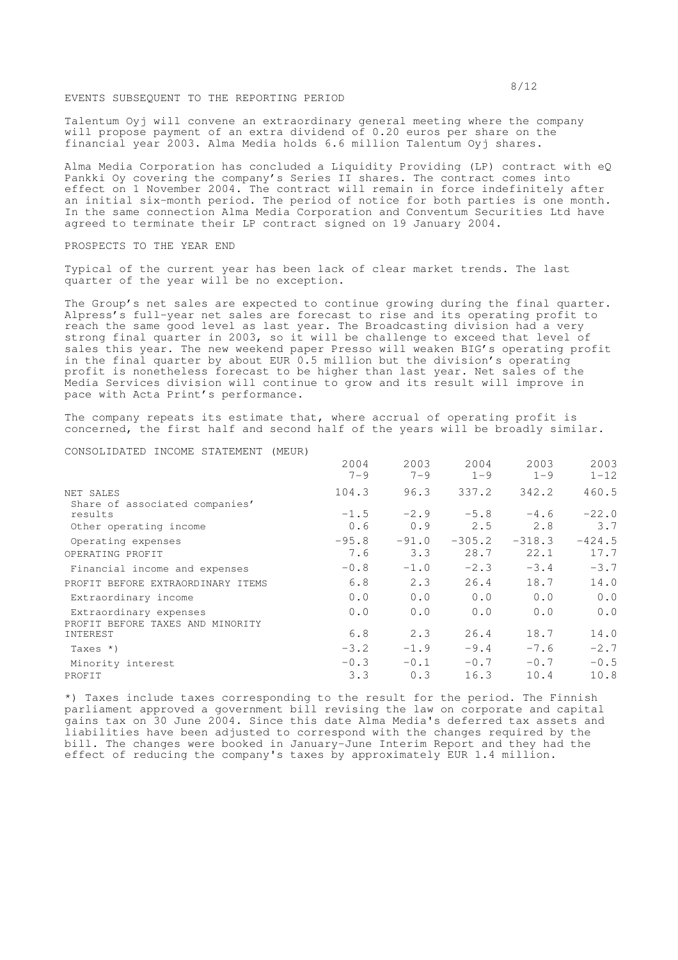## EVENTS SUBSEQUENT TO THE REPORTING PERIOD

Talentum Oyj will convene an extraordinary general meeting where the company will propose payment of an extra dividend of 0.20 euros per share on the financial year 2003. Alma Media holds 6.6 million Talentum Oyj shares.

Alma Media Corporation has concluded a Liquidity Providing (LP) contract with eQ Pankki Oy covering the company's Series II shares. The contract comes into effect on 1 November 2004. The contract will remain in force indefinitely after an initial six-month period. The period of notice for both parties is one month. In the same connection Alma Media Corporation and Conventum Securities Ltd have agreed to terminate their LP contract signed on 19 January 2004.

## PROSPECTS TO THE YEAR END

Typical of the current year has been lack of clear market trends**.** The last quarter of the year will be no exception.

The Group's net sales are expected to continue growing during the final quarter. Alpress's full-year net sales are forecast to rise and its operating profit to reach the same good level as last year. The Broadcasting division had a very strong final quarter in 2003, so it will be challenge to exceed that level of sales this year. The new weekend paper Presso will weaken BIG's operating profit in the final quarter by about EUR 0.5 million but the division's operating profit is nonetheless forecast to be higher than last year. Net sales of the Media Services division will continue to grow and its result will improve in pace with Acta Print's performance.

The company repeats its estimate that, where accrual of operating profit is concerned, the first half and second half of the years will be broadly similar.

### CONSOLIDATED INCOME STATEMENT (MEUR)

|                                                            | 2004<br>$7 - 9$ | 2003<br>$7 - 9$ | 2004<br>$1 - 9$  | 2003<br>$1 - 9$  | 2003<br>$1 - 12$ |
|------------------------------------------------------------|-----------------|-----------------|------------------|------------------|------------------|
| NET SALES<br>Share of associated companies'                | 104.3           | 96.3            | 337.2            | 342.2            | 460.5            |
| results                                                    | $-1.5$          | $-2.9$          | $-5.8$           | $-4.6$           | $-22.0$          |
| Other operating income                                     | 0.6             | 0.9             | 2.5              | 2.8              | 3.7              |
| Operating expenses<br>OPERATING PROFIT                     | $-95.8$<br>7.6  | $-91.0$<br>3.3  | $-305.2$<br>28.7 | $-318.3$<br>22.1 | $-424.5$<br>17.7 |
| Financial income and expenses                              | $-0.8$          | $-1.0$          | $-2.3$           | $-3.4$           | $-3.7$           |
| PROFIT BEFORE EXTRAORDINARY ITEMS                          | 6.8             | 2.3             | 26.4             | 18.7             | 14.0             |
| Extraordinary income                                       | 0.0             | 0.0             | 0.0              | 0.0              | 0.0              |
| Extraordinary expenses<br>PROFIT BEFORE TAXES AND MINORITY | 0.0             | 0.0             | 0.0              | 0.0              | 0.0              |
| INTEREST                                                   | 6.8             | 2.3             | 26.4             | 18.7             | 14.0             |
| Taxes *)                                                   | $-3.2$          | $-1.9$          | $-9.4$           | $-7.6$           | $-2.7$           |
| Minority interest                                          | $-0.3$          | $-0.1$          | $-0.7$           | $-0.7$           | $-0.5$           |
| PROFIT                                                     | 3.3             | 0.3             | 16.3             | 10.4             | 10.8             |

\*) Taxes include taxes corresponding to the result for the period. The Finnish parliament approved a government bill revising the law on corporate and capital gains tax on 30 June 2004. Since this date Alma Media's deferred tax assets and liabilities have been adjusted to correspond with the changes required by the bill. The changes were booked in January-June Interim Report and they had the effect of reducing the company's taxes by approximately EUR 1.4 million.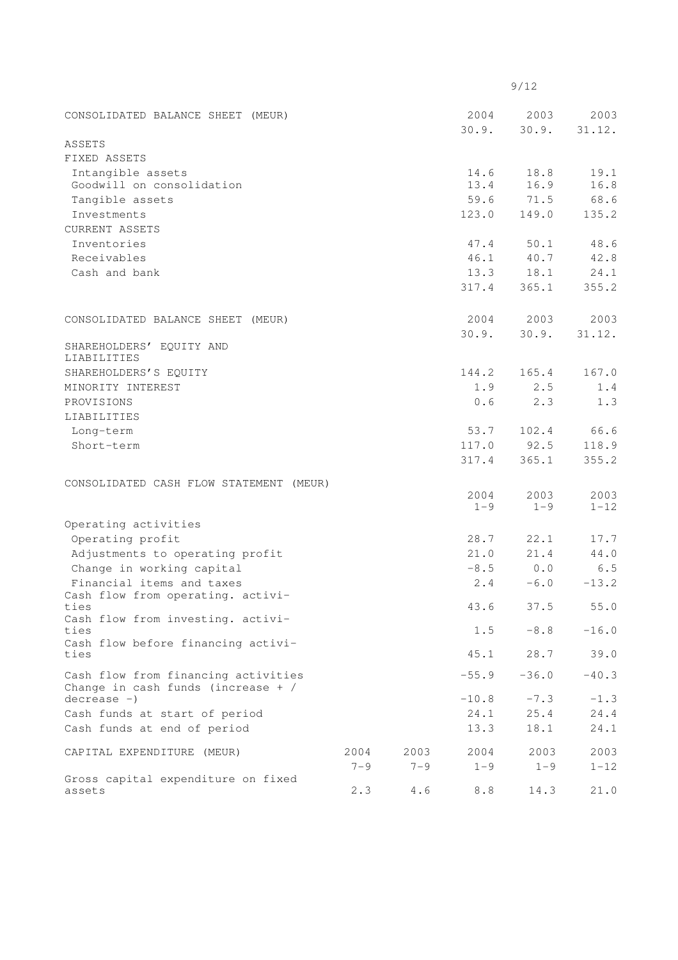|                                                                             |         |         |                 | 9/12            |                  |
|-----------------------------------------------------------------------------|---------|---------|-----------------|-----------------|------------------|
| CONSOLIDATED BALANCE SHEET (MEUR)                                           |         |         | 2004            | 2003            | 2003             |
|                                                                             |         |         | 30.9.           | 30.9.           | 31.12.           |
| ASSETS                                                                      |         |         |                 |                 |                  |
| FIXED ASSETS                                                                |         |         |                 |                 |                  |
| Intangible assets                                                           |         |         | 14.6            | 18.8            | 19.1             |
| Goodwill on consolidation                                                   |         |         | 13.4            | 16.9            | 16.8             |
| Tangible assets                                                             |         |         | 59.6            | 71.5            | 68.6             |
| Investments                                                                 |         |         | 123.0           | 149.0           | 135.2            |
| <b>CURRENT ASSETS</b>                                                       |         |         |                 |                 |                  |
| Inventories<br>Receivables                                                  |         |         | 47.4            | 50.1            | 48.6             |
|                                                                             |         |         | 46.1            | 40.7            | 42.8             |
| Cash and bank                                                               |         |         | 13.3            | 18.1            | 24.1             |
|                                                                             |         |         | 317.4           | 365.1           | 355.2            |
| CONSOLIDATED BALANCE SHEET (MEUR)                                           |         |         | 2004            | 2003            | 2003             |
|                                                                             |         |         | 30.9.           | 30.9.           | 31.12.           |
| SHAREHOLDERS' EQUITY AND<br>LIABILITIES                                     |         |         |                 |                 |                  |
| SHAREHOLDERS'S EQUITY                                                       |         |         | 144.2           | 165.4           | 167.0            |
| MINORITY INTEREST                                                           |         |         | 1.9             | 2.5             | 1.4              |
| PROVISIONS                                                                  |         |         | 0.6             | 2.3             | 1.3              |
| LIABILITIES                                                                 |         |         |                 |                 |                  |
| Long-term                                                                   |         |         | 53.7            | 102.4           | 66.6             |
| Short-term                                                                  |         |         | 117.0           | 92.5            | 118.9            |
|                                                                             |         |         | 317.4           | 365.1           | 355.2            |
| CONSOLIDATED CASH FLOW STATEMENT (MEUR)                                     |         |         |                 |                 |                  |
|                                                                             |         |         | 2004<br>$1 - 9$ | 2003<br>$1 - 9$ | 2003<br>$1 - 12$ |
| Operating activities                                                        |         |         |                 |                 |                  |
| Operating profit                                                            |         |         | 28.7            | 22.1            | 17.7             |
| Adjustments to operating profit                                             |         |         | 21.0            | 21.4            | 44.0             |
| Change in working capital                                                   |         |         | $-8.5$          | 0.0             | 6.5              |
| Financial items and taxes                                                   |         |         | 2.4             | $-6.0$          | $-13.2$          |
| Cash flow from operating. activi-                                           |         |         |                 |                 |                  |
| ties                                                                        |         |         | 43.6            | 37.5            | 55.0             |
| Cash flow from investing. activi-<br>ties                                   |         |         | 1.5             | $-8.8$          | $-16.0$          |
| Cash flow before financing activi-<br>ties                                  |         |         | 45.1            | 28.7            | 39.0             |
| Cash flow from financing activities<br>Change in cash funds (increase $+$ / |         |         | $-55.9$         | $-36.0$         | $-40.3$          |
| $decrease -)$                                                               |         |         | $-10.8$         | $-7.3$          | $-1.3$           |
| Cash funds at start of period                                               |         |         | 24.1            | 25.4            | 24.4             |
| Cash funds at end of period                                                 |         |         | 13.3            | 18.1            | 24.1             |
| CAPITAL EXPENDITURE (MEUR)                                                  | 2004    | 2003    | 2004            | 2003            | 2003             |
|                                                                             | $7 - 9$ | $7 - 9$ | $1 - 9$         | $1 - 9$         | $1 - 12$         |
| Gross capital expenditure on fixed                                          |         |         |                 |                 |                  |
| assets                                                                      | 2.3     | 4.6     | 8.8             | 14.3            | 21.0             |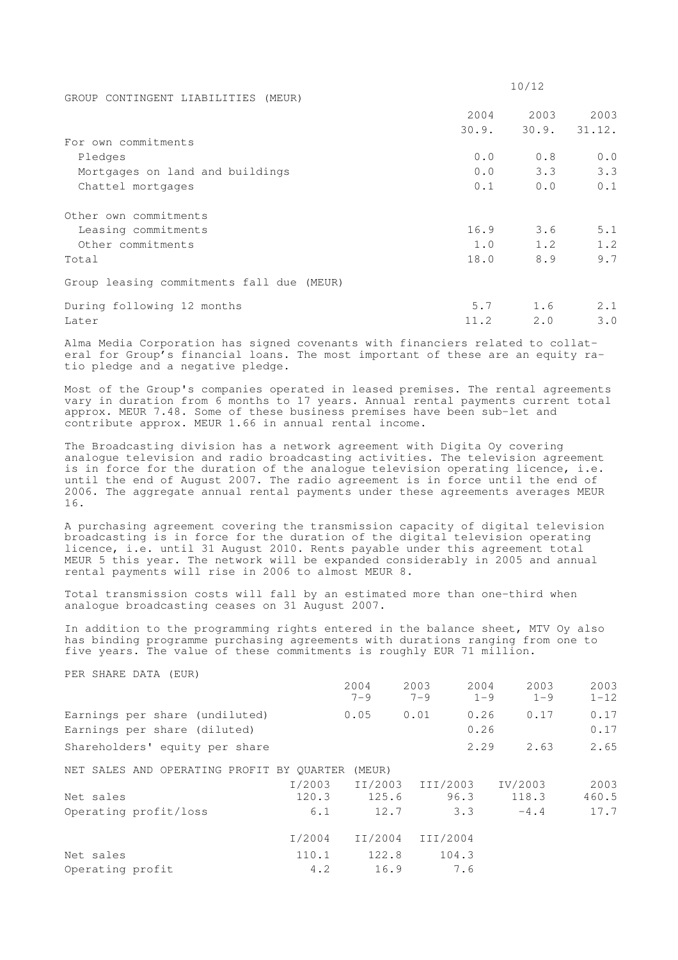|                                           |       | 10/12 |              |
|-------------------------------------------|-------|-------|--------------|
| GROUP CONTINGENT LIABILITIES (MEUR)       |       |       |              |
|                                           | 2004  | 2003  | 2003         |
|                                           | 30.9. |       | 30.9. 31.12. |
| For own commitments                       |       |       |              |
| Pledges                                   | 0.0   | 0.8   | 0.0          |
| Mortgages on land and buildings           | 0.0   | 3.3   | 3.3          |
| Chattel mortgages                         | 0.1   | 0.0   | 0.1          |
| Other own commitments                     |       |       |              |
| Leasing commitments                       | 16.9  | 3.6   | 5.1          |
| Other commitments                         | 1.0   | 1.2   | 1.2          |
| Total                                     | 18.0  | 8.9   | 9.7          |
| Group leasing commitments fall due (MEUR) |       |       |              |
| During following 12 months                | 5.7   | 1.6   | 2.1          |
| Later                                     | 11.2  | 2.0   | 3.0          |

Alma Media Corporation has signed covenants with financiers related to collateral for Group's financial loans. The most important of these are an equity ratio pledge and a negative pledge.

Most of the Group's companies operated in leased premises. The rental agreements vary in duration from 6 months to 17 years. Annual rental payments current total approx. MEUR 7.48. Some of these business premises have been sub-let and contribute approx. MEUR 1.66 in annual rental income.

The Broadcasting division has a network agreement with Digita Oy covering analogue television and radio broadcasting activities. The television agreement is in force for the duration of the analogue television operating licence, i.e. until the end of August 2007. The radio agreement is in force until the end of 2006. The aggregate annual rental payments under these agreements averages MEUR 16.

A purchasing agreement covering the transmission capacity of digital television broadcasting is in force for the duration of the digital television operating licence, i.e. until 31 August 2010. Rents payable under this agreement total MEUR 5 this year. The network will be expanded considerably in 2005 and annual rental payments will rise in 2006 to almost MEUR 8.

Total transmission costs will fall by an estimated more than one-third when analogue broadcasting ceases on 31 August 2007.

In addition to the programming rights entered in the balance sheet, MTV Oy also has binding programme purchasing agreements with durations ranging from one to five years. The value of these commitments is roughly EUR 71 million.

PER SHARE DATA (EUR)

| r bit bilim bilin (bolt)                                       |        | 2004<br>$7 - 9$ | 2003<br>$7 - 9$ | 2004<br>$1 - 9$ | 2003<br>$1 - 9$ | 2003<br>$1 - 12$ |
|----------------------------------------------------------------|--------|-----------------|-----------------|-----------------|-----------------|------------------|
| Earnings per share (undiluted)<br>Earnings per share (diluted) |        | 0.05            | 0.01            | 0.26<br>0.26    | 0.17            | 0.17<br>0.17     |
| Shareholders' equity per share                                 |        |                 |                 | 2.29            | 2.63            | 2.65             |
| NET SALES AND OPERATING PROFIT BY OUARTER                      |        | (MEUR)          |                 |                 |                 |                  |
|                                                                | I/2003 | II/2003         | III/2003        |                 | IV/2003         | 2003             |
| Net sales                                                      | 120.3  | 125.6           | 96.3            |                 | 118.3           | 460.5            |
| Operating profit/loss                                          | 6.1    | 12.7            |                 | 3.3             | $-4.4$          | 17.7             |
|                                                                | I/2004 | II/2004         | III/2004        |                 |                 |                  |
| Net sales                                                      | 110.1  | 122.8           | 104.3           |                 |                 |                  |
| Operating profit                                               | 4.2    | 16.9            |                 | 7.6             |                 |                  |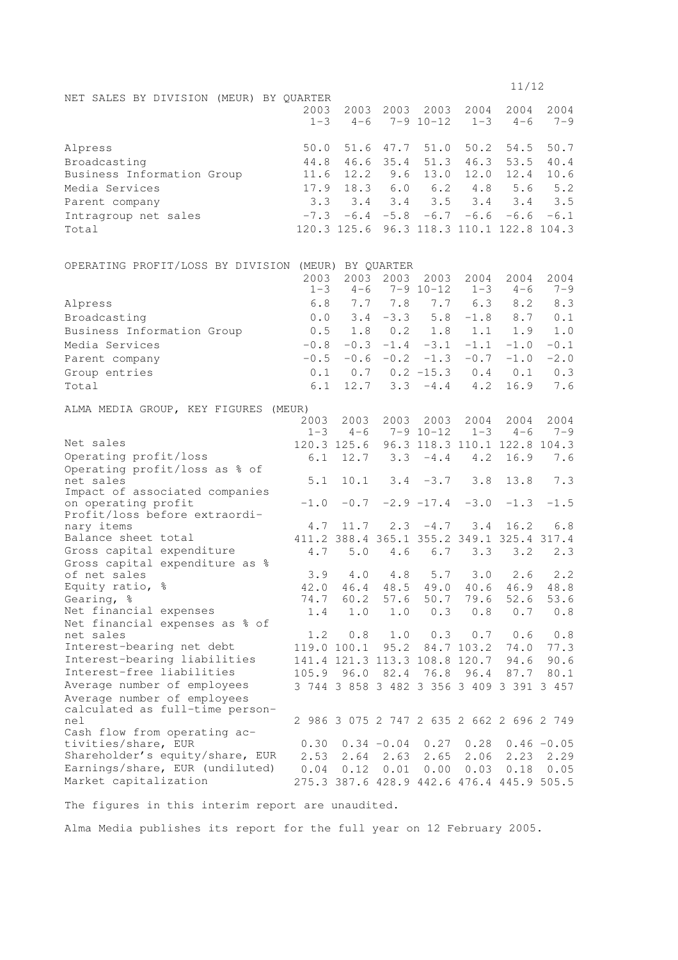|                                                      |                 |                               |                       |                       |                 | 11/12                                      |                 |
|------------------------------------------------------|-----------------|-------------------------------|-----------------------|-----------------------|-----------------|--------------------------------------------|-----------------|
| NET SALES BY DIVISION (MEUR) BY QUARTER              | 2003<br>$1 - 3$ | 2003<br>$4 - 6$               | 2003                  | 2003<br>$7 - 9$ 10-12 | 2004<br>$1 - 3$ | 2004<br>$4 - 6$                            | 2004<br>$7 - 9$ |
| Alpress                                              | 50.0            | 51.6                          | 47.7                  | 51.0                  | 50.2            | 54.5                                       | 50.7            |
| Broadcasting                                         | 44.8            | 46.6                          | 35.4                  | 51.3                  | 46.3            | 53.5                                       | 40.4            |
| Business Information Group                           | 11.6            | 12.2                          | 9.6                   | 13.0                  | 12.0            | 12.4                                       | 10.6            |
| Media Services                                       | 17.9            | 18.3                          | 6.0                   | 6.2                   | 4.8             | 5.6                                        | 5.2             |
| Parent company                                       | 3.3             | 3.4                           | 3.4                   | 3.5                   | 3.4             | 3.4                                        | 3.5             |
| Intragroup net sales                                 | $-7.3$          |                               | $-6.4 - 5.8$          | $-6.7$                | $-6.6$          | $-6.6$                                     | $-6.1$          |
| Total                                                |                 | 120.3 125.6                   |                       |                       |                 | 96.3 118.3 110.1 122.8 104.3               |                 |
| OPERATING PROFIT/LOSS BY DIVISION (MEUR) BY QUARTER  |                 |                               |                       |                       |                 |                                            |                 |
|                                                      | 2003            | 2003                          | 2003                  | 2003                  | 2004            | 2004                                       | 2004            |
|                                                      | $1 - 3$         | $4 - 6$                       |                       | $7 - 9$ 10-12         | $1 - 3$         | $4 - 6$                                    | $7 - 9$         |
| Alpress                                              | 6.8             | 7.7                           | 7.8                   | 7.7                   | 6.3             | 8.2                                        | 8.3             |
| Broadcasting                                         | 0.0             | 3.4                           | $-3.3$                | 5.8                   | $-1.8$          | 8.7                                        | 0.1             |
| Business Information Group                           | 0.5             | 1.8                           | 0.2                   | 1.8                   | 1.1             | 1.9                                        | 1.0             |
| Media Services                                       | $-0.8$          | $-0.3$                        | $-1.4$                | $-3.1$                | $-1.1$          | $-1.0$                                     | $-0.1$          |
| Parent company                                       | $-0.5$          |                               | $-0.6 - 0.2$          | $-1.3$                | $-0.7$          | $-1.0$                                     | $-2.0$          |
| Group entries                                        | 0.1             |                               | $0.7 \t 0.2 \t -15.3$ |                       | 0.4             | 0.1                                        | 0.3             |
| Total                                                | 6.1             | 12.7                          | 3.3                   | $-4.4$                | 4.2             | 16.9                                       | 7.6             |
| ALMA MEDIA GROUP, KEY FIGURES<br>(MEUR)              |                 |                               |                       |                       |                 |                                            |                 |
|                                                      | 2003            | 2003                          | 2003                  | 2003                  | 2004            | 2004                                       | 2004            |
|                                                      | $1 - 3$         | $4 - 6$                       |                       | $7 - 9$ 10-12         | $1 - 3$         | $4 - 6$                                    | $7 - 9$         |
| Net sales                                            |                 | 120.3 125.6                   |                       |                       |                 | 96.3 118.3 110.1 122.8 104.3               |                 |
| Operating profit/loss                                | 6.1             | 12.7                          | 3.3                   | $-4.4$                | 4.2             | 16.9                                       | 7.6             |
| Operating profit/loss as % of<br>net sales           | 5.1             | 10.1                          | 3.4                   | $-3.7$                | 3.8             | 13.8                                       | 7.3             |
| Impact of associated companies                       |                 |                               |                       |                       |                 |                                            |                 |
| on operating profit<br>Profit/loss before extraordi- | $-1.0$          | $-0.7$                        |                       | $-2.9 -17.4$          | $-3.0$          | $-1.3$                                     | $-1.5$          |
| nary items                                           | 4.7             | 11.7                          | 2.3                   | $-4.7$                | 3.4             | 16.2                                       | 6.8             |
| Balance sheet total                                  |                 |                               |                       |                       |                 | 411.2 388.4 365.1 355.2 349.1 325.4 317.4  |                 |
| Gross capital expenditure                            | 4.7             | 5.0                           | 4.6                   | 6.7                   | 3.3             | 3.2                                        | 2.3             |
| Gross capital expenditure as %                       |                 |                               |                       |                       |                 |                                            |                 |
| of net sales                                         | 3.9             | 4.0                           | 4.8                   | 5.7                   | 3.0             | 2.6                                        | 2.2             |
| Equity ratio, %                                      | 74.7            | 60.2                          | 57.6                  | 50.7                  | 79.6            | 42.0 46.4 48.5 49.0 40.6 46.9 48.8<br>52.6 | 53.6            |
| Gearing, %<br>Net financial expenses                 | 1.4             | 1.0                           | 1.0                   | 0.3                   | 0.8             | 0.7                                        | 0.8             |
| Net financial expenses as % of                       |                 |                               |                       |                       |                 |                                            |                 |
| net sales                                            | 1.2             | 0.8                           | 1.0                   | 0.3                   | 0.7             | 0.6                                        | 0.8             |
| Interest-bearing net debt                            |                 | 119.0 100.1                   | 95.2                  |                       | 84.7 103.2      | 74.0                                       | 77.3            |
| Interest-bearing liabilities                         |                 | 141.4 121.3 113.3 108.8 120.7 |                       |                       |                 | 94.6                                       | 90.6            |
| Interest-free liabilities                            | 105.9           | 96.0                          | 82.4                  | 76.8                  | 96.4            | 87.7                                       | 80.1            |
| Average number of employees                          |                 |                               |                       |                       |                 | 3 744 3 858 3 482 3 356 3 409 3 391 3 457  |                 |
| Average number of employees                          |                 |                               |                       |                       |                 |                                            |                 |
| calculated as full-time person-<br>nel               |                 |                               |                       |                       |                 | 2 986 3 075 2 747 2 635 2 662 2 696 2 749  |                 |
| Cash flow from operating ac-                         |                 |                               |                       |                       |                 |                                            |                 |
| tivities/share, EUR                                  | 0.30            |                               | $0.34 - 0.04$         |                       | $0.27$ 0.28     |                                            | $0.46 - 0.05$   |
| Shareholder's equity/share, EUR                      | 2.53            |                               | $2.64$ 2.63           | 2.65                  | 2.06            | 2.23                                       | 2.29            |
| Earnings/share, EUR (undiluted)                      | 0.04            | 0.12                          | 0.01                  | 0.00                  | 0.03            | 0.18                                       | 0.05            |
| Market capitalization                                |                 |                               |                       |                       |                 | 275.3 387.6 428.9 442.6 476.4 445.9 505.5  |                 |

The figures in this interim report are unaudited.

Alma Media publishes its report for the full year on 12 February 2005.